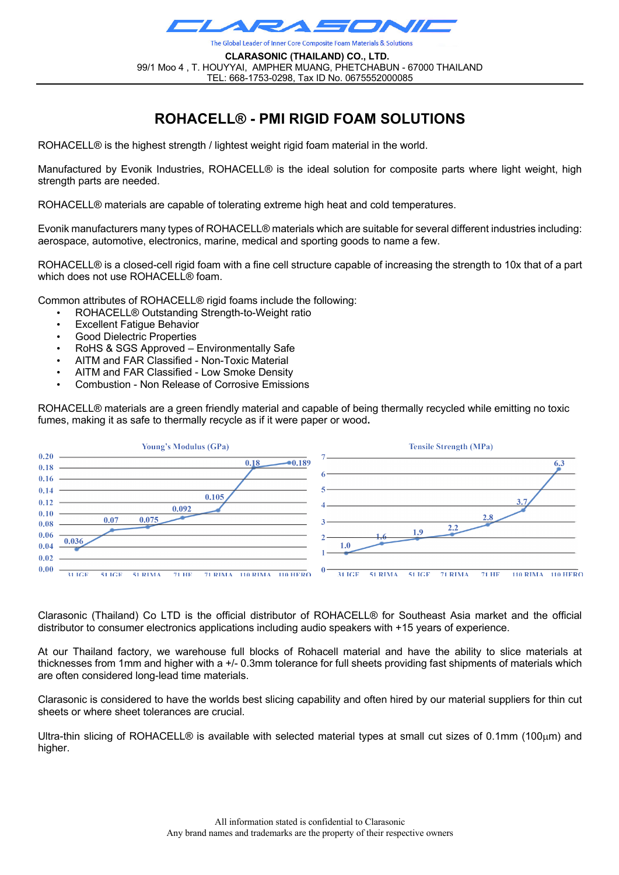

**CLARASONIC (THAILAND) CO., LTD.** 99/1 Moo 4 , T. HOUYYAI, AMPHER MUANG, PHETCHABUN - 67000 THAILAND TEL: 668-1753-0298, Tax ID No. 0675552000085

## **ROHACELL® - PMI RIGID FOAM SOLUTIONS**

ROHACELL<sup>®</sup> is the highest strength / lightest weight rigid foam material in the world.

Manufactured by Evonik Industries, ROHACELL® is the ideal solution for composite parts where light weight, high strength parts are needed.

ROHACELL® materials are capable of tolerating extreme high heat and cold temperatures.

Evonik manufacturers many types of ROHACELL® materials which are suitable for several different industries including: aerospace, automotive, electronics, marine, medical and sporting goods to name a few.

ROHACELL® is a closed-cell rigid foam with a fine cell structure capable of increasing the strength to 10x that of a part which does not use ROHACELL® foam.

Common attributes of ROHACELL® rigid foams include the following:

- ROHACELL® Outstanding Strength-to-Weight ratio
- **Excellent Fatique Behavior**
- Good Dielectric Properties
- RoHS & SGS Approved Environmentally Safe
- AITM and FAR Classified Non-Toxic Material
- AITM and FAR Classified Low Smoke Density
- Combustion Non Release of Corrosive Emissions

ROHACELL® materials are a green friendly material and capable of being thermally recycled while emitting no toxic fumes, making it as safe to thermally recycle as if it were paper or wood**.**



Clarasonic (Thailand) Co LTD is the official distributor of ROHACELL® for Southeast Asia market and the official distributor to consumer electronics applications including audio speakers with +15 years of experience.

At our Thailand factory, we warehouse full blocks of Rohacell material and have the ability to slice materials at thicknesses from 1mm and higher with a +/- 0.3mm tolerance for full sheets providing fast shipments of materials which are often considered long-lead time materials.

Clarasonic is considered to have the worlds best slicing capability and often hired by our material suppliers for thin cut sheets or where sheet tolerances are crucial.

Ultra-thin slicing of ROHACELL® is available with selected material types at small cut sizes of 0.1mm (100 $\mu$ m) and higher.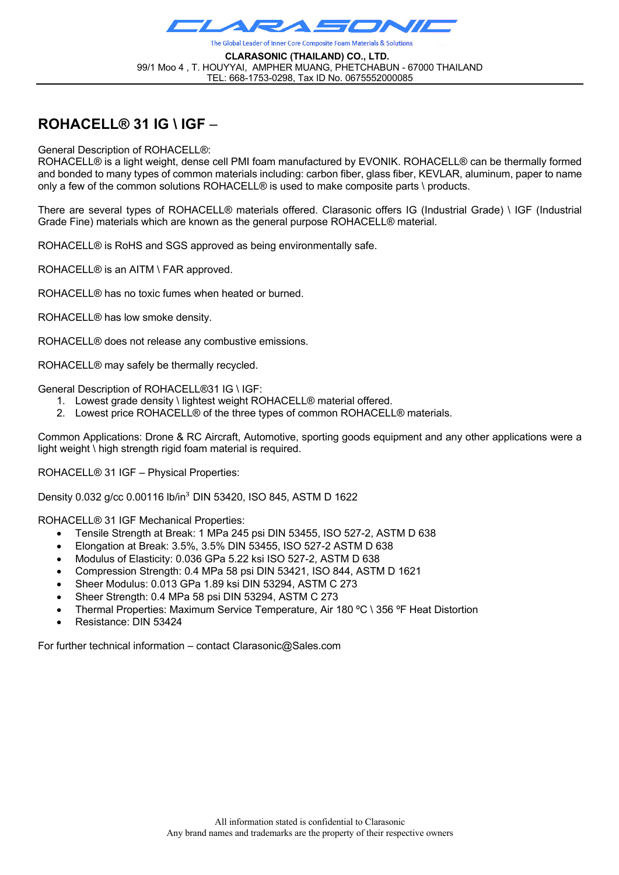

**CLARASONIC (THAILAND) CO., LTD.** 99/1 Moo 4 , T. HOUYYAI, AMPHER MUANG, PHETCHABUN - 67000 THAILAND TEL: 668-1753-0298, Tax ID No. 0675552000085

## **ROHACELL® 31 IG \ IGF** –

General Description of ROHACELL®:

ROHACELL® is a light weight, dense cell PMI foam manufactured by EVONIK. ROHACELL® can be thermally formed and bonded to many types of common materials including: carbon fiber, glass fiber, KEVLAR, aluminum, paper to name only a few of the common solutions ROHACELL® is used to make composite parts \ products.

There are several types of ROHACELL® materials offered. Clarasonic offers IG (Industrial Grade) \ IGF (Industrial Grade Fine) materials which are known as the general purpose ROHACELL® material.

ROHACELL® is RoHS and SGS approved as being environmentally safe.

ROHACELL® is an AITM \ FAR approved.

ROHACELL® has no toxic fumes when heated or burned.

ROHACELL® has low smoke density.

ROHACELL® does not release any combustive emissions.

ROHACELL® may safely be thermally recycled.

General Description of ROHACELL®31 IG \ IGF:

- 1. Lowest grade density \ lightest weight ROHACELL® material offered.
- 2. Lowest price ROHACELL® of the three types of common ROHACELL® materials.

Common Applications: Drone & RC Aircraft, Automotive, sporting goods equipment and any other applications were a light weight \ high strength rigid foam material is required.

ROHACELL® 31 IGF – Physical Properties:

Density 0.032 g/cc 0.00116 lb/in<sup>3</sup> DIN 53420, ISO 845, ASTM D 1622

ROHACELL® 31 IGF Mechanical Properties:

- Tensile Strength at Break: 1 MPa 245 psi DIN 53455, ISO 527-2, ASTM D 638
- Elongation at Break: 3.5%, 3.5% DIN 53455, ISO 527-2 ASTM D 638
- Modulus of Elasticity: 0.036 GPa 5.22 ksi ISO 527-2, ASTM D 638
- Compression Strength: 0.4 MPa 58 psi DIN 53421, ISO 844, ASTM D 1621
- Sheer Modulus: 0.013 GPa 1.89 ksi DIN 53294, ASTM C 273
- Sheer Strength: 0.4 MPa 58 psi DIN 53294, ASTM C 273
- Thermal Properties: Maximum Service Temperature, Air 180 ºC \ 356 ºF Heat Distortion
- Resistance: DIN 53424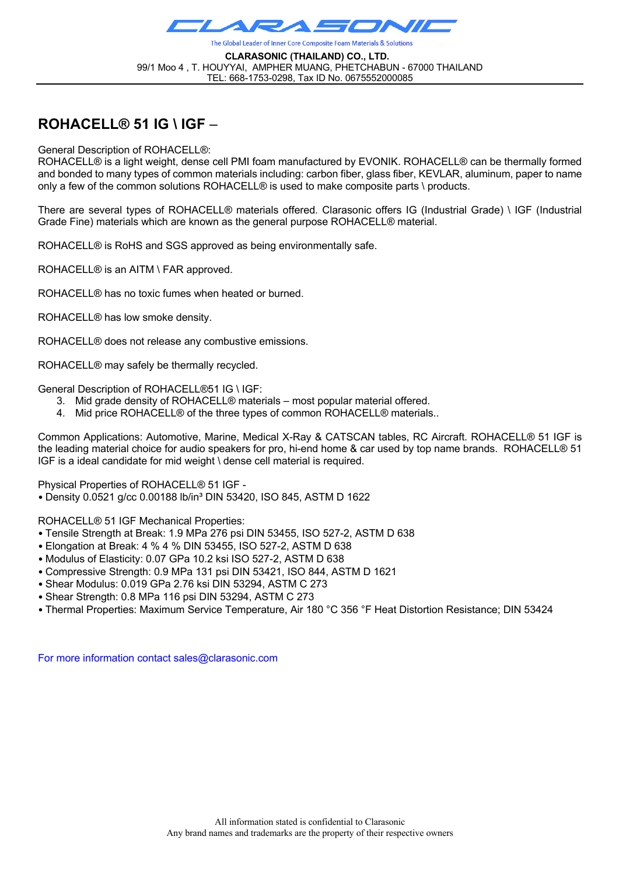

**CLARASONIC (THAILAND) CO., LTD.** 99/1 Moo 4 , T. HOUYYAI, AMPHER MUANG, PHETCHABUN - 67000 THAILAND TEL: 668-1753-0298, Tax ID No. 0675552000085

### **ROHACELL® 51 IG \ IGF** –

General Description of ROHACELL®:

ROHACELL® is a light weight, dense cell PMI foam manufactured by EVONIK. ROHACELL® can be thermally formed and bonded to many types of common materials including: carbon fiber, glass fiber, KEVLAR, aluminum, paper to name only a few of the common solutions ROHACELL® is used to make composite parts \ products.

There are several types of ROHACELL® materials offered. Clarasonic offers IG (Industrial Grade) \ IGF (Industrial Grade Fine) materials which are known as the general purpose ROHACELL® material.

ROHACELL® is RoHS and SGS approved as being environmentally safe.

ROHACELL® is an AITM \ FAR approved.

ROHACELL® has no toxic fumes when heated or burned.

ROHACELL® has low smoke density.

ROHACELL® does not release any combustive emissions.

ROHACELL® may safely be thermally recycled.

General Description of ROHACELL®51 IG \ IGF:

- 3. Mid grade density of ROHACELL® materials most popular material offered.
- 4. Mid price ROHACELL® of the three types of common ROHACELL® materials..

Common Applications: Automotive, Marine, Medical X-Ray & CATSCAN tables, RC Aircraft. ROHACELL® 51 IGF is the leading material choice for audio speakers for pro, hi-end home & car used by top name brands. ROHACELL® 51 IGF is a ideal candidate for mid weight \ dense cell material is required.

Physical Properties of ROHACELL® 51 IGF -

• Density 0.0521 g/cc 0.00188 lb/in³ DIN 53420, ISO 845, ASTM D 1622

ROHACELL® 51 IGF Mechanical Properties:

- Tensile Strength at Break: 1.9 MPa 276 psi DIN 53455, ISO 527-2, ASTM D 638
- Elongation at Break: 4 % 4 % DIN 53455, ISO 527-2, ASTM D 638
- Modulus of Elasticity: 0.07 GPa 10.2 ksi ISO 527-2, ASTM D 638
- Compressive Strength: 0.9 MPa 131 psi DIN 53421, ISO 844, ASTM D 1621
- Shear Modulus: 0.019 GPa 2.76 ksi DIN 53294, ASTM C 273
- Shear Strength: 0.8 MPa 116 psi DIN 53294, ASTM C 273
- Thermal Properties: Maximum Service Temperature, Air 180 °C 356 °F Heat Distortion Resistance; DIN 53424

For more information contact sales@clarasonic.com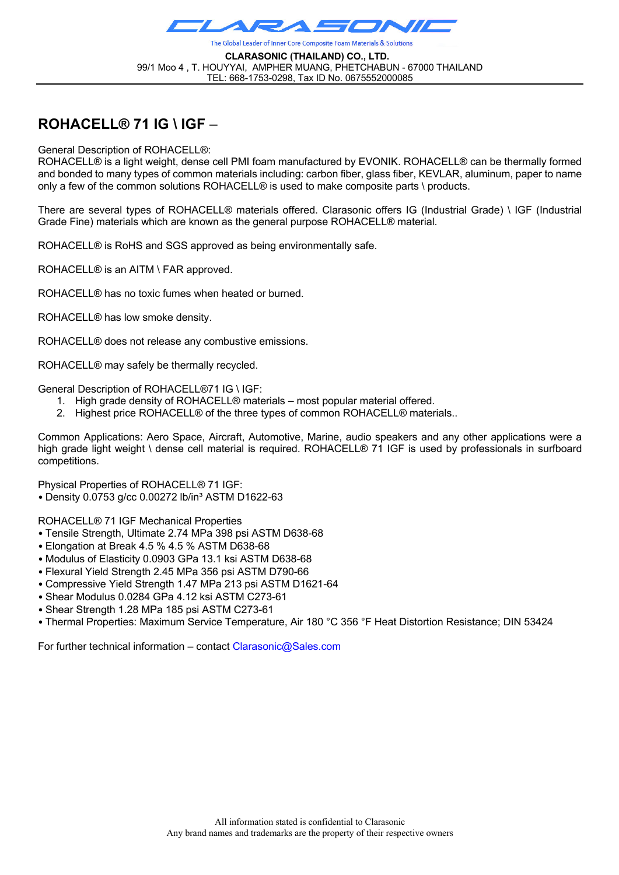

**CLARASONIC (THAILAND) CO., LTD.** 99/1 Moo 4 , T. HOUYYAI, AMPHER MUANG, PHETCHABUN - 67000 THAILAND TEL: 668-1753-0298, Tax ID No. 0675552000085

## **ROHACELL® 71 IG \ IGF** –

General Description of ROHACELL®:

ROHACELL® is a light weight, dense cell PMI foam manufactured by EVONIK. ROHACELL® can be thermally formed and bonded to many types of common materials including: carbon fiber, glass fiber, KEVLAR, aluminum, paper to name only a few of the common solutions ROHACELL® is used to make composite parts \ products.

There are several types of ROHACELL® materials offered. Clarasonic offers IG (Industrial Grade) \ IGF (Industrial Grade Fine) materials which are known as the general purpose ROHACELL® material.

ROHACELL® is RoHS and SGS approved as being environmentally safe.

ROHACELL® is an AITM \ FAR approved.

ROHACELL® has no toxic fumes when heated or burned.

ROHACELL® has low smoke density.

ROHACELL® does not release any combustive emissions.

ROHACELL® may safely be thermally recycled.

General Description of ROHACELL®71 IG \ IGF:

- 1. High grade density of ROHACELL® materials most popular material offered.
- 2. Highest price ROHACELL® of the three types of common ROHACELL® materials..

Common Applications: Aero Space, Aircraft, Automotive, Marine, audio speakers and any other applications were a high grade light weight \ dense cell material is required. ROHACELL® 71 IGF is used by professionals in surfboard competitions.

Physical Properties of ROHACELL® 71 IGF:

• Density 0.0753 g/cc 0.00272 lb/in³ ASTM D1622-63

ROHACELL® 71 IGF Mechanical Properties

- Tensile Strength, Ultimate 2.74 MPa 398 psi ASTM D638-68
- Elongation at Break 4.5 % 4.5 % ASTM D638-68
- Modulus of Elasticity 0.0903 GPa 13.1 ksi ASTM D638-68
- Flexural Yield Strength 2.45 MPa 356 psi ASTM D790-66
- Compressive Yield Strength 1.47 MPa 213 psi ASTM D1621-64
- Shear Modulus 0.0284 GPa 4.12 ksi ASTM C273-61
- Shear Strength 1.28 MPa 185 psi ASTM C273-61
- Thermal Properties: Maximum Service Temperature, Air 180 °C 356 °F Heat Distortion Resistance; DIN 53424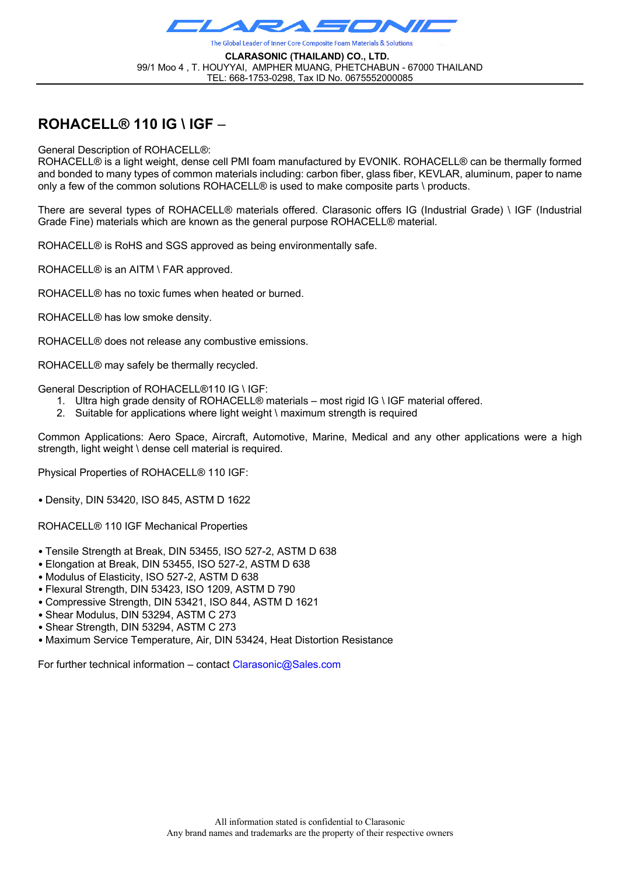

**CLARASONIC (THAILAND) CO., LTD.** 99/1 Moo 4 , T. HOUYYAI, AMPHER MUANG, PHETCHABUN - 67000 THAILAND TEL: 668-1753-0298, Tax ID No. 0675552000085

# **ROHACELL® 110 IG \ IGF** –

General Description of ROHACELL®:

ROHACELL® is a light weight, dense cell PMI foam manufactured by EVONIK. ROHACELL® can be thermally formed and bonded to many types of common materials including: carbon fiber, glass fiber, KEVLAR, aluminum, paper to name only a few of the common solutions ROHACELL® is used to make composite parts \ products.

There are several types of ROHACELL® materials offered. Clarasonic offers IG (Industrial Grade) \ IGF (Industrial Grade Fine) materials which are known as the general purpose ROHACELL® material.

ROHACELL® is RoHS and SGS approved as being environmentally safe.

ROHACELL® is an AITM \ FAR approved.

ROHACELL® has no toxic fumes when heated or burned.

ROHACELL® has low smoke density.

ROHACELL® does not release any combustive emissions.

ROHACELL® may safely be thermally recycled.

General Description of ROHACELL®110 IG \ IGF:

- 1. Ultra high grade density of ROHACELL® materials most rigid IG \ IGF material offered.
- 2. Suitable for applications where light weight \ maximum strength is required

Common Applications: Aero Space, Aircraft, Automotive, Marine, Medical and any other applications were a high strength, light weight \ dense cell material is required.

Physical Properties of ROHACELL® 110 IGF:

• Density, DIN 53420, ISO 845, ASTM D 1622

ROHACELL® 110 IGF Mechanical Properties

- Tensile Strength at Break, DIN 53455, ISO 527-2, ASTM D 638
- Elongation at Break, DIN 53455, ISO 527-2, ASTM D 638
- Modulus of Elasticity, ISO 527-2, ASTM D 638
- Flexural Strength, DIN 53423, ISO 1209, ASTM D 790
- Compressive Strength, DIN 53421, ISO 844, ASTM D 1621
- Shear Modulus, DIN 53294, ASTM C 273
- Shear Strength, DIN 53294, ASTM C 273
- Maximum Service Temperature, Air, DIN 53424, Heat Distortion Resistance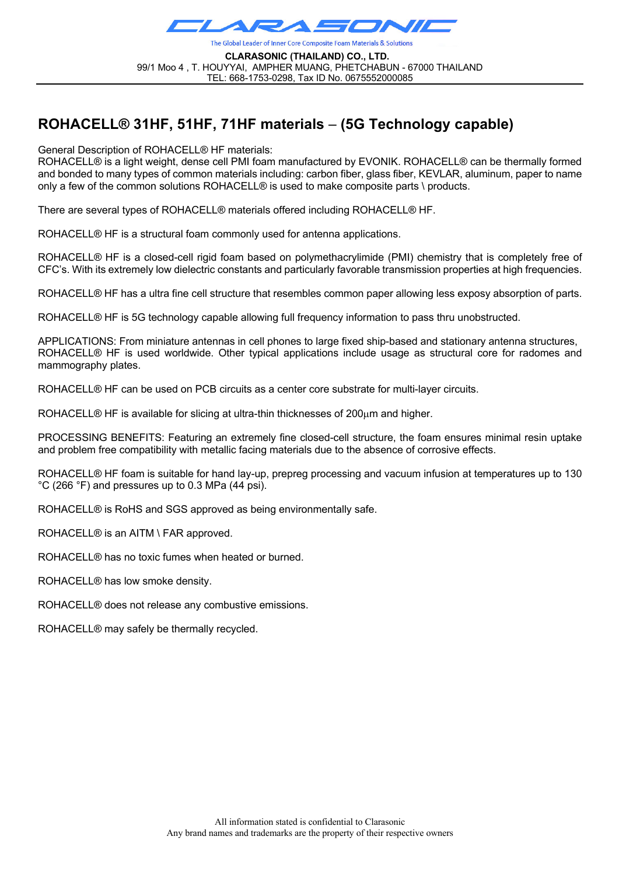

**CLARASONIC (THAILAND) CO., LTD.** 99/1 Moo 4 , T. HOUYYAI, AMPHER MUANG, PHETCHABUN - 67000 THAILAND TEL: 668-1753-0298, Tax ID No. 0675552000085

# **ROHACELL® 31HF, 51HF, 71HF materials** – **(5G Technology capable)**

General Description of ROHACELL® HF materials:

ROHACELL® is a light weight, dense cell PMI foam manufactured by EVONIK. ROHACELL® can be thermally formed and bonded to many types of common materials including: carbon fiber, glass fiber, KEVLAR, aluminum, paper to name only a few of the common solutions ROHACELL® is used to make composite parts \ products.

There are several types of ROHACELL® materials offered including ROHACELL® HF.

ROHACELL® HF is a structural foam commonly used for antenna applications.

ROHACELL® HF is a closed-cell rigid foam based on polymethacrylimide (PMI) chemistry that is completely free of CFC's. With its extremely low dielectric constants and particularly favorable transmission properties at high frequencies.

ROHACELL® HF has a ultra fine cell structure that resembles common paper allowing less exposy absorption of parts.

ROHACELL® HF is 5G technology capable allowing full frequency information to pass thru unobstructed.

APPLICATIONS: From miniature antennas in cell phones to large fixed ship-based and stationary antenna structures, ROHACELL® HF is used worldwide. Other typical applications include usage as structural core for radomes and mammography plates.

ROHACELL® HF can be used on PCB circuits as a center core substrate for multi-layer circuits.

ROHACELL® HF is available for slicing at ultra-thin thicknesses of 200µm and higher.

PROCESSING BENEFITS: Featuring an extremely fine closed-cell structure, the foam ensures minimal resin uptake and problem free compatibility with metallic facing materials due to the absence of corrosive effects.

ROHACELL® HF foam is suitable for hand lay-up, prepreg processing and vacuum infusion at temperatures up to 130 °C (266 °F) and pressures up to 0.3 MPa (44 psi).

ROHACELL® is RoHS and SGS approved as being environmentally safe.

ROHACELL® is an AITM \ FAR approved.

ROHACELL® has no toxic fumes when heated or burned.

ROHACELL® has low smoke density.

ROHACELL® does not release any combustive emissions.

ROHACELL® may safely be thermally recycled.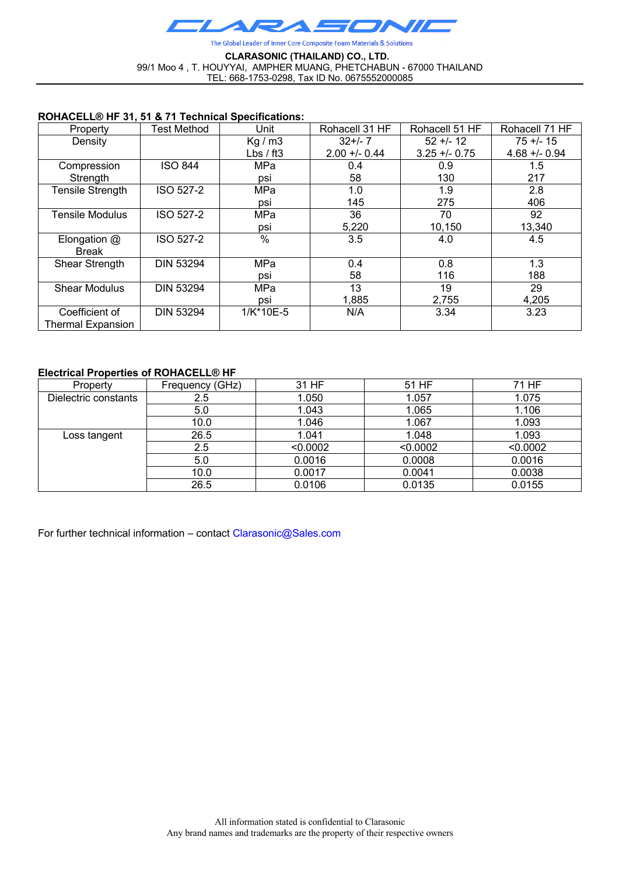

#### **CLARASONIC (THAILAND) CO., LTD.** 99/1 Moo 4 , T. HOUYYAI, AMPHER MUANG, PHETCHABUN - 67000 THAILAND TEL: 668-1753-0298, Tax ID No. 0675552000085

### **ROHACELL® HF 31, 51 & 71 Technical Specifications:**

| Property                 | Test Method      | Unit        | Rohacell 31 HF | Rohacell 51 HF | Rohacell 71 HF  |
|--------------------------|------------------|-------------|----------------|----------------|-----------------|
| Density                  |                  | Kg/m3       | $32+/-7$       | $52 + 12$      | $75 + 15$       |
|                          |                  | Lbs $/$ ft3 | $2.00 + 0.44$  | $3.25 + 0.75$  | $4.68 + - 0.94$ |
| Compression              | <b>ISO 844</b>   | <b>MPa</b>  | 0.4            | 0.9            | 1.5             |
| Strength                 |                  | psi         | 58             | 130            | 217             |
| <b>Tensile Strength</b>  | ISO 527-2        | MPa         | 1.0            | 1.9            | 2.8             |
|                          |                  | psi         | 145            | 275            | 406             |
| <b>Tensile Modulus</b>   | ISO 527-2        | MPa         | 36             | 70             | 92              |
|                          |                  | psi         | 5,220          | 10,150         | 13,340          |
| Elongation $@$           | ISO 527-2        | $\%$        | 3.5            | 4.0            | 4.5             |
| <b>Break</b>             |                  |             |                |                |                 |
| Shear Strength           | <b>DIN 53294</b> | MPa         | 0.4            | 0.8            | 1.3             |
|                          |                  | psi         | 58             | 116            | 188             |
| <b>Shear Modulus</b>     | <b>DIN 53294</b> | MPa         | 13             | 19             | 29              |
|                          |                  | psi         | 1,885          | 2,755          | 4,205           |
| Coefficient of           | <b>DIN 53294</b> | 1/K*10E-5   | N/A            | 3.34           | 3.23            |
| <b>Thermal Expansion</b> |                  |             |                |                |                 |

### **Electrical Properties of ROHACELL® HF**

| Property             | Frequency (GHz) | 31 HF    | 51 HF    | 71 HF    |
|----------------------|-----------------|----------|----------|----------|
| Dielectric constants | 2.5             | 1.050    | 1.057    | 1.075    |
|                      | 5.0             | 1.043    | 1.065    | 1.106    |
|                      | 10.0            | 1.046    | 1.067    | 1.093    |
| Loss tangent         | 26.5            | 1.041    | 1.048    | 1.093    |
|                      | 2.5             | < 0.0002 | < 0.0002 | < 0.0002 |
|                      | 5.0             | 0.0016   | 0.0008   | 0.0016   |
|                      | 10.0            | 0.0017   | 0.0041   | 0.0038   |
|                      | 26.5            | 0.0106   | 0.0135   | 0.0155   |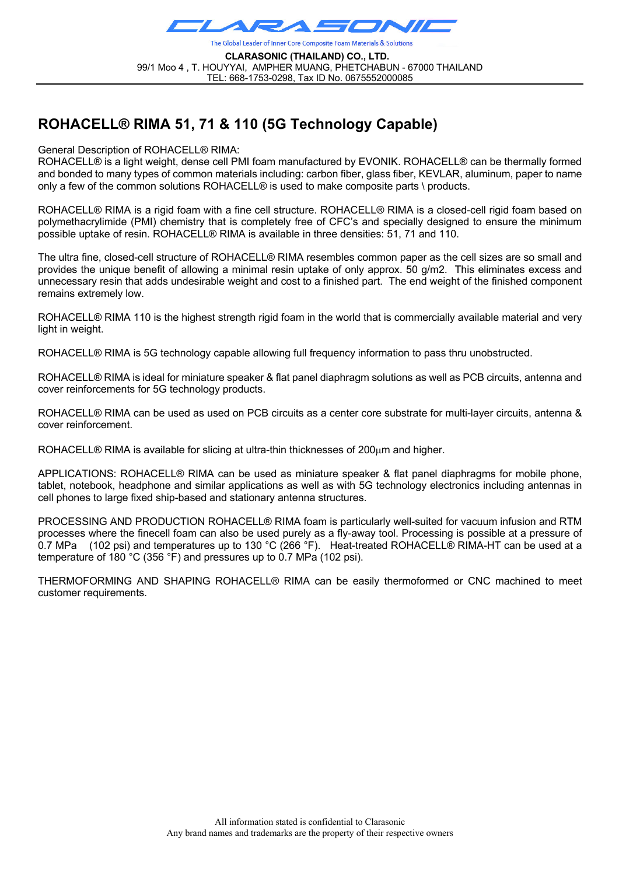

**CLARASONIC (THAILAND) CO., LTD.** 99/1 Moo 4 , T. HOUYYAI, AMPHER MUANG, PHETCHABUN - 67000 THAILAND TEL: 668-1753-0298, Tax ID No. 0675552000085

# **ROHACELL® RIMA 51, 71 & 110 (5G Technology Capable)**

General Description of ROHACELL® RIMA:

ROHACELL® is a light weight, dense cell PMI foam manufactured by EVONIK. ROHACELL® can be thermally formed and bonded to many types of common materials including: carbon fiber, glass fiber, KEVLAR, aluminum, paper to name only a few of the common solutions ROHACELL® is used to make composite parts \ products.

ROHACELL® RIMA is a rigid foam with a fine cell structure. ROHACELL® RIMA is a closed-cell rigid foam based on polymethacrylimide (PMI) chemistry that is completely free of CFC's and specially designed to ensure the minimum possible uptake of resin. ROHACELL® RIMA is available in three densities: 51, 71 and 110.

The ultra fine, closed-cell structure of ROHACELL® RIMA resembles common paper as the cell sizes are so small and provides the unique benefit of allowing a minimal resin uptake of only approx. 50 g/m2. This eliminates excess and unnecessary resin that adds undesirable weight and cost to a finished part. The end weight of the finished component remains extremely low.

ROHACELL® RIMA 110 is the highest strength rigid foam in the world that is commercially available material and very light in weight.

ROHACELL® RIMA is 5G technology capable allowing full frequency information to pass thru unobstructed.

ROHACELL® RIMA is ideal for miniature speaker & flat panel diaphragm solutions as well as PCB circuits, antenna and cover reinforcements for 5G technology products.

ROHACELL® RIMA can be used as used on PCB circuits as a center core substrate for multi-layer circuits, antenna & cover reinforcement.

ROHACELL® RIMA is available for slicing at ultra-thin thicknesses of 200µm and higher.

APPLICATIONS: ROHACELL® RIMA can be used as miniature speaker & flat panel diaphragms for mobile phone, tablet, notebook, headphone and similar applications as well as with 5G technology electronics including antennas in cell phones to large fixed ship-based and stationary antenna structures.

PROCESSING AND PRODUCTION ROHACELL® RIMA foam is particularly well-suited for vacuum infusion and RTM processes where the finecell foam can also be used purely as a fly-away tool. Processing is possible at a pressure of 0.7 MPa (102 psi) and temperatures up to 130 °C (266 °F). Heat-treated ROHACELL® RIMA-HT can be used at a temperature of 180 °C (356 °F) and pressures up to 0.7 MPa (102 psi).

THERMOFORMING AND SHAPING ROHACELL® RIMA can be easily thermoformed or CNC machined to meet customer requirements.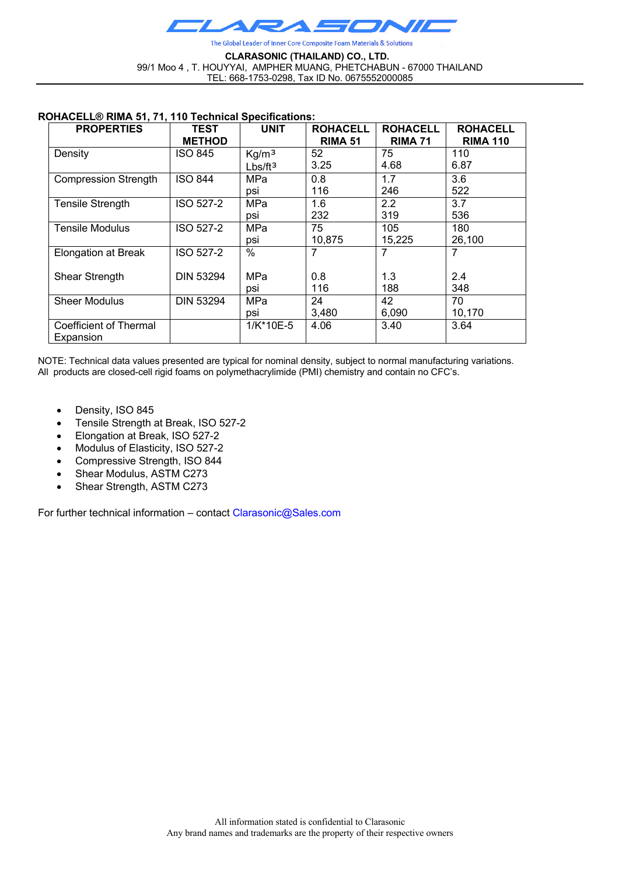

#### **CLARASONIC (THAILAND) CO., LTD.** 99/1 Moo 4 , T. HOUYYAI, AMPHER MUANG, PHETCHABUN - 67000 THAILAND TEL: 668-1753-0298, Tax ID No. 0675552000085

#### **ROHACELL® RIMA 51, 71, 110 Technical Specifications:**

| <b>PROPERTIES</b>             | TEST<br><b>METHOD</b> | <b>UNIT</b>       | <b>ROHACELL</b><br><b>RIMA 51</b> | <b>ROHACELL</b><br><b>RIMA 71</b> | <b>ROHACELL</b><br><b>RIMA 110</b> |
|-------------------------------|-----------------------|-------------------|-----------------------------------|-----------------------------------|------------------------------------|
| Density                       | <b>ISO 845</b>        | Kg/m <sup>3</sup> | 52                                | 75                                | 110                                |
|                               |                       | $Lbs/ft^3$        | 3.25                              | 4.68                              | 6.87                               |
| <b>Compression Strength</b>   | <b>ISO 844</b>        | MPa               | 0.8                               | 1.7                               | 3.6                                |
|                               |                       | psi               | 116                               | 246                               | 522                                |
| <b>Tensile Strength</b>       | <b>ISO 527-2</b>      | <b>MPa</b>        | 1.6                               | 2.2                               | 3.7                                |
|                               |                       | psi               | 232                               | 319                               | 536                                |
| <b>Tensile Modulus</b>        | <b>ISO 527-2</b>      | <b>MPa</b>        | 75                                | 105                               | 180                                |
|                               |                       | psi               | 10,875                            | 15,225                            | 26,100                             |
| <b>Elongation at Break</b>    | <b>ISO 527-2</b>      | $\%$              | 7                                 | 7                                 | 7                                  |
| Shear Strength                | <b>DIN 53294</b>      | MPa               | 0.8                               | 1.3                               | 2.4                                |
|                               |                       | psi               | 116                               | 188                               | 348                                |
| <b>Sheer Modulus</b>          | <b>DIN 53294</b>      | MPa               | 24                                | 42                                | 70                                 |
|                               |                       | psi               | 3,480                             | 6,090                             | 10,170                             |
| <b>Coefficient of Thermal</b> |                       | 1/K*10E-5         | 4.06                              | 3.40                              | 3.64                               |
| Expansion                     |                       |                   |                                   |                                   |                                    |

NOTE: Technical data values presented are typical for nominal density, subject to normal manufacturing variations. All products are closed-cell rigid foams on polymethacrylimide (PMI) chemistry and contain no CFC's.

- Density, ISO 845
- Tensile Strength at Break, ISO 527-2
- Elongation at Break, ISO 527-2
- Modulus of Elasticity, ISO 527-2
- Compressive Strength, ISO 844
- Shear Modulus, ASTM C273
- Shear Strength, ASTM C273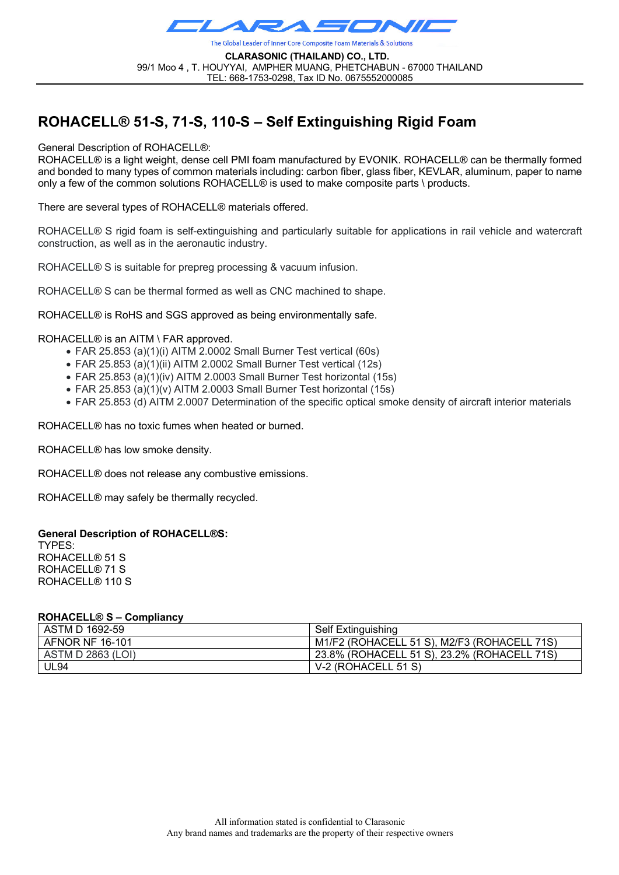

**CLARASONIC (THAILAND) CO., LTD.** 99/1 Moo 4 , T. HOUYYAI, AMPHER MUANG, PHETCHABUN - 67000 THAILAND TEL: 668-1753-0298, Tax ID No. 0675552000085

# **ROHACELL® 51-S, 71-S, 110-S – Self Extinguishing Rigid Foam**

General Description of ROHACELL®:

ROHACELL® is a light weight, dense cell PMI foam manufactured by EVONIK. ROHACELL® can be thermally formed and bonded to many types of common materials including: carbon fiber, glass fiber, KEVLAR, aluminum, paper to name only a few of the common solutions ROHACELL® is used to make composite parts \ products.

There are several types of ROHACELL® materials offered.

ROHACELL® S rigid foam is self-extinguishing and particularly suitable for applications in rail vehicle and watercraft construction, as well as in the aeronautic industry.

ROHACELL® S is suitable for prepreg processing & vacuum infusion.

ROHACELL® S can be thermal formed as well as CNC machined to shape.

ROHACELL® is RoHS and SGS approved as being environmentally safe.

#### ROHACELL® is an AITM \ FAR approved.

- FAR 25.853 (a)(1)(i) AITM 2.0002 Small Burner Test vertical (60s)
- FAR 25.853 (a)(1)(ii) AITM 2.0002 Small Burner Test vertical (12s)
- FAR 25.853 (a)(1)(iv) AITM 2.0003 Small Burner Test horizontal (15s)
- FAR 25.853 (a)(1)(v) AITM 2.0003 Small Burner Test horizontal (15s)
- FAR 25.853 (d) AITM 2.0007 Determination of the specific optical smoke density of aircraft interior materials

ROHACELL® has no toxic fumes when heated or burned.

ROHACELL® has low smoke density.

ROHACELL® does not release any combustive emissions.

ROHACELL® may safely be thermally recycled.

#### **General Description of ROHACELL®S:**

TYPES: ROHACELL® 51 S ROHACELL® 71 S ROHACELL® 110 S

#### **ROHACELL® S – Compliancy**

| ASTM D 1692-59           | <b>Self Extinguishing</b>                   |
|--------------------------|---------------------------------------------|
| AFNOR NF 16-101          | M1/F2 (ROHACELL 51 S), M2/F3 (ROHACELL 71S) |
| <b>ASTM D 2863 (LOI)</b> | 23.8% (ROHACELL 51 S), 23.2% (ROHACELL 71S) |
| UL94                     | V-2 (ROHACELL 51 S)                         |